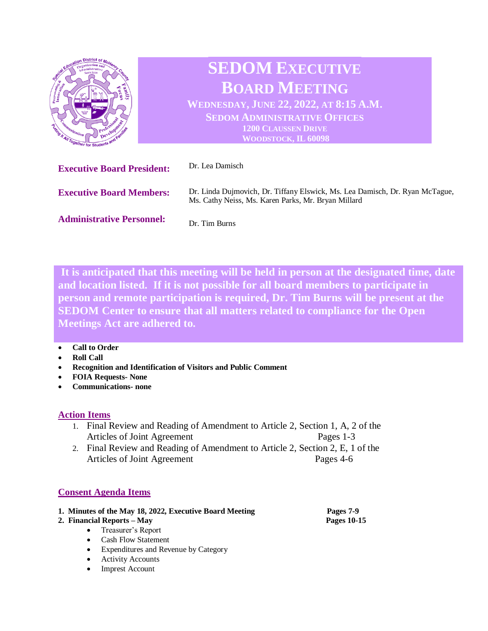

**It is anticipated that this meeting will be held in person at the designated time, date and location listed. If it is not possible for all board members to participate in person and remote participation is required, Dr. Tim Burns will be present at the SEDOM Center to ensure that all matters related to compliance for the Open Meetings Act are adhered to.** 

#### **Call to Order**

- **Roll Call**
- **Recognition and Identification of Visitors and Public Comment**
- **FOIA Requests- None**
- **Communications- none**

## **Action Items**

- 1. Final Review and Reading of Amendment to Article 2, Section 1, A, 2 of the Articles of Joint Agreement Pages 1-3
- 2. Final Review and Reading of Amendment to Article 2, Section 2, E, 1 of the Articles of Joint Agreement Pages 4-6

# **Consent Agenda Items**

## **1. Minutes of the May 18, 2022, Executive Board Meeting Pages 7-9**

- **2. Financial Reports – May Pages 10-15**
	- Treasurer's Report
	- Cash Flow Statement
	- Expenditures and Revenue by Category
	- Activity Accounts
	- Imprest Account